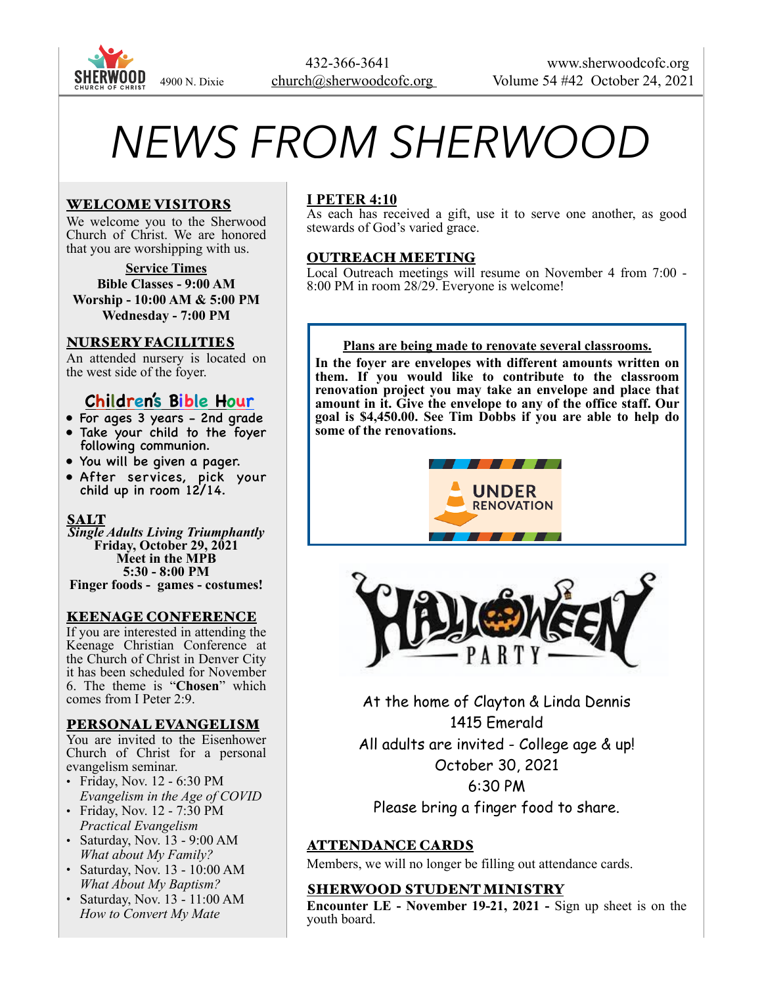

# *NEWS FROM SHERWOOD*

## WELCOME VISITORS

We welcome you to the Sherwood Church of Christ. We are honored that you are worshipping with us.

**Service Times Bible Classes - 9:00 AM Worship - 10:00 AM & 5:00 PM Wednesday - 7:00 PM** 

## NURSERY FACILITIES

An attended nursery is located on the west side of the foyer.

## **Children's Bible Hour**

- For ages 3 years 2nd grade
- Take your child to the foyer following communion.
- You will be given a pager.
- After services, pick your child up in room 12/14.

## **SALT**

*Single Adults Living Triumphantly*  **Friday, October 29, 2021 Meet in the MPB 5:30 - 8:00 PM Finger foods - games - costumes!** 

#### KEENAGE CONFERENCE

If you are interested in attending the Keenage Christian Conference at the Church of Christ in Denver City it has been scheduled for November 6. The theme is "**Chosen**" which comes from I Peter 2:9.

#### PERSONAL EVANGELISM

You are invited to the Eisenhower Church of Christ for a personal evangelism seminar.

- Friday, Nov. 12 6:30 PM *Evangelism in the Age of COVID*
- Friday, Nov. 12 7:30 PM *Practical Evangelism*
- Saturday, Nov. 13 9:00 AM *What about My Family?*
- Saturday, Nov. 13 10:00 AM *What About My Baptism?*
- Saturday, Nov. 13 11:00 AM *How to Convert My Mate*

## **I PETER 4:10**

As each has received a gift, use it to serve one another, as good stewards of God's varied grace.

#### OUTREACH MEETING

Local Outreach meetings will resume on November 4 from 7:00 - 8:00 PM in room 28/29. Everyone is welcome!

#### **Plans are being made to renovate several classrooms.**

**In the foyer are envelopes with different amounts written on them. If you would like to contribute to the classroom renovation project you may take an envelope and place that amount in it. Give the envelope to any of the office staff. Our goal is \$4,450.00. See Tim Dobbs if you are able to help do some of the renovations.** 





At the home of Clayton & Linda Dennis 1415 Emerald All adults are invited - College age & up! October 30, 2021 6:30 PM Please bring a finger food to share.

## ATTENDANCE CARDS

Members, we will no longer be filling out attendance cards.

#### SHERWOOD STUDENT MINISTRY

**Encounter LE - November 19-21, 2021 -** Sign up sheet is on the youth board.